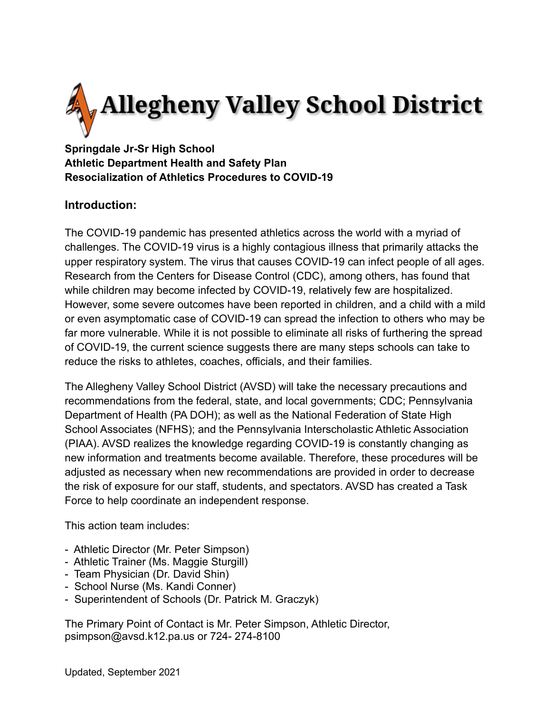

## **Springdale Jr-Sr High School Athletic Department Health and Safety Plan Resocialization of Athletics Procedures to COVID-19**

## **Introduction:**

The COVID-19 pandemic has presented athletics across the world with a myriad of challenges. The COVID-19 virus is a highly contagious illness that primarily attacks the upper respiratory system. The virus that causes COVID-19 can infect people of all ages. Research from the Centers for Disease Control (CDC), among others, has found that while children may become infected by COVID-19, relatively few are hospitalized. However, some severe outcomes have been reported in children, and a child with a mild or even asymptomatic case of COVID-19 can spread the infection to others who may be far more vulnerable. While it is not possible to eliminate all risks of furthering the spread of COVID-19, the current science suggests there are many steps schools can take to reduce the risks to athletes, coaches, officials, and their families.

The Allegheny Valley School District (AVSD) will take the necessary precautions and recommendations from the federal, state, and local governments; CDC; Pennsylvania Department of Health (PA DOH); as well as the National Federation of State High School Associates (NFHS); and the Pennsylvania Interscholastic Athletic Association (PIAA). AVSD realizes the knowledge regarding COVID-19 is constantly changing as new information and treatments become available. Therefore, these procedures will be adjusted as necessary when new recommendations are provided in order to decrease the risk of exposure for our staff, students, and spectators. AVSD has created a Task Force to help coordinate an independent response.

This action team includes:

- Athletic Director (Mr. Peter Simpson)
- Athletic Trainer (Ms. Maggie Sturgill)
- Team Physician (Dr. David Shin)
- School Nurse (Ms. Kandi Conner)
- Superintendent of Schools (Dr. Patrick M. Graczyk)

The Primary Point of Contact is Mr. Peter Simpson, Athletic Director, psimpson@avsd.k12.pa.us or 724- 274-8100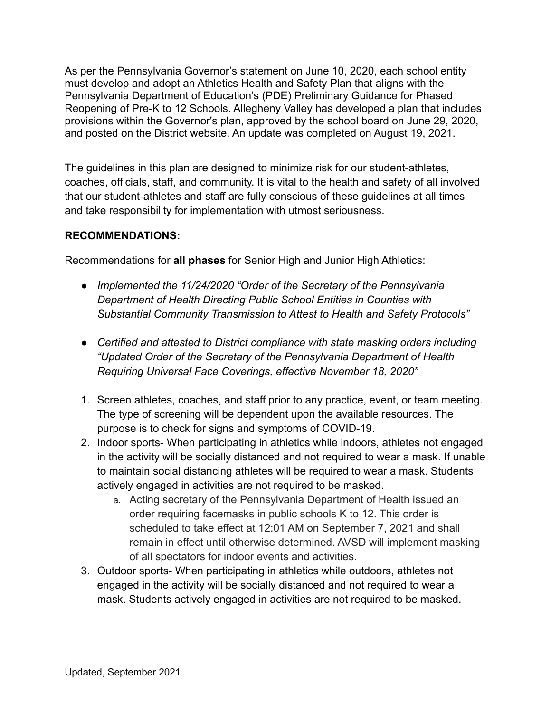As per the Pennsylvania Governor's statement on June 10, 2020, each school entity must develop and adopt an Athletics Health and Safety Plan that aligns with the Pennsylvania Department of Education's (PDE) Preliminary Guidance for Phased Reopening of Pre-K to 12 Schools. Allegheny Valley has developed a plan that includes provisions within the Governor's plan, approved by the school board on June 29, 2020, and posted on the District website. An update was completed on August 19, 2021.

The guidelines in this plan are designed to minimize risk for our student-athletes, coaches, officials, staff, and community. It is vital to the health and safety of all involved that our student-athletes and staff are fully conscious of these guidelines at all times and take responsibility for implementation with utmost seriousness.

#### **RECOMMENDATIONS:**

Recommendations for **all phases** for Senior High and Junior High Athletics:

- *Implemented the 11/24/2020 "Order of the Secretary of the Pennsylvania Department of Health Directing Public School Entities in Counties with Substantial Community Transmission to Attest to Health and Safety Protocols"*
- *Certified and attested to District compliance with state masking orders including "Updated Order of the Secretary of the Pennsylvania Department of Health Requiring Universal Face Coverings, effective November 18, 2020"*
- 1. Screen athletes, coaches, and staff prior to any practice, event, or team meeting. The type of screening will be dependent upon the available resources. The purpose is to check for signs and symptoms of COVID-19.
- 2. Indoor sports- When participating in athletics while indoors, athletes not engaged in the activity will be socially distanced and not required to wear a mask. If unable to maintain social distancing athletes will be required to wear a mask. Students actively engaged in activities are not required to be masked.
	- a. Acting secretary of the Pennsylvania Department of Health issued an order requiring facemasks in public schools K to 12. This order is scheduled to take effect at 12:01 AM on September 7, 2021 and shall remain in effect until otherwise determined. AVSD will implement masking of all spectators for indoor events and activities.
- 3. Outdoor sports- When participating in athletics while outdoors, athletes not engaged in the activity will be socially distanced and not required to wear a mask. Students actively engaged in activities are not required to be masked.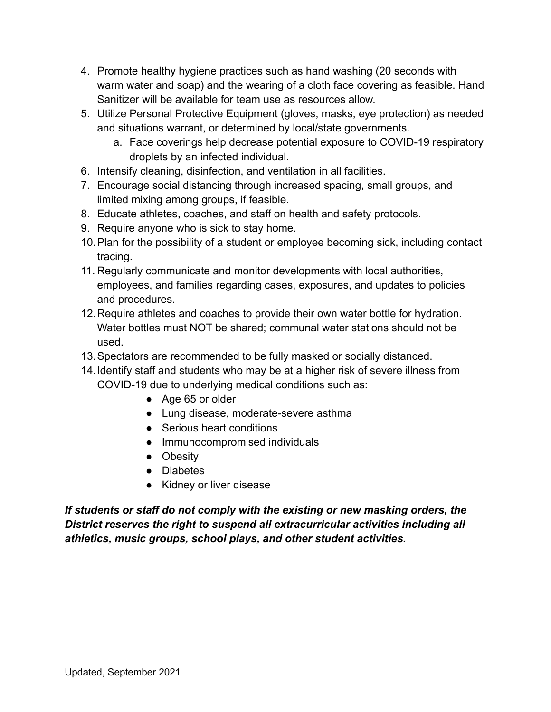- 4. Promote healthy hygiene practices such as hand washing (20 seconds with warm water and soap) and the wearing of a cloth face covering as feasible. Hand Sanitizer will be available for team use as resources allow.
- 5. Utilize Personal Protective Equipment (gloves, masks, eye protection) as needed and situations warrant, or determined by local/state governments.
	- a. Face coverings help decrease potential exposure to COVID-19 respiratory droplets by an infected individual.
- 6. Intensify cleaning, disinfection, and ventilation in all facilities.
- 7. Encourage social distancing through increased spacing, small groups, and limited mixing among groups, if feasible.
- 8. Educate athletes, coaches, and staff on health and safety protocols.
- 9. Require anyone who is sick to stay home.
- 10.Plan for the possibility of a student or employee becoming sick, including contact tracing.
- 11. Regularly communicate and monitor developments with local authorities, employees, and families regarding cases, exposures, and updates to policies and procedures.
- 12.Require athletes and coaches to provide their own water bottle for hydration. Water bottles must NOT be shared; communal water stations should not be used.
- 13.Spectators are recommended to be fully masked or socially distanced.
- 14.Identify staff and students who may be at a higher risk of severe illness from COVID-19 due to underlying medical conditions such as:
	- Age 65 or older
	- Lung disease, moderate-severe asthma
	- Serious heart conditions
	- Immunocompromised individuals
	- Obesity
	- Diabetes
	- Kidney or liver disease

*If students or staff do not comply with the existing or new masking orders, the District reserves the right to suspend all extracurricular activities including all athletics, music groups, school plays, and other student activities.*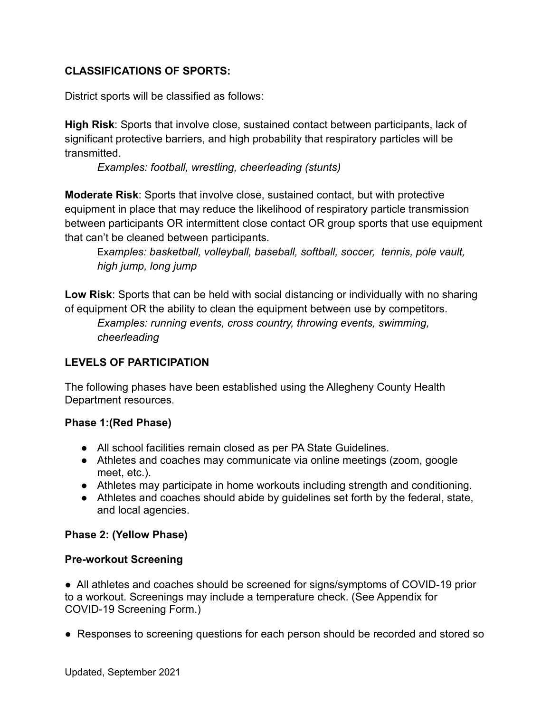#### **CLASSIFICATIONS OF SPORTS:**

District sports will be classified as follows:

**High Risk**: Sports that involve close, sustained contact between participants, lack of significant protective barriers, and high probability that respiratory particles will be transmitted.

*Examples: football, wrestling, cheerleading (stunts)*

**Moderate Risk**: Sports that involve close, sustained contact, but with protective equipment in place that may reduce the likelihood of respiratory particle transmission between participants OR intermittent close contact OR group sports that use equipment that can't be cleaned between participants.

Ex*amples: basketball, volleyball, baseball, softball, soccer, tennis, pole vault, high jump, long jump*

**Low Risk**: Sports that can be held with social distancing or individually with no sharing of equipment OR the ability to clean the equipment between use by competitors.

*Examples: running events, cross country, throwing events, swimming, cheerleading*

#### **LEVELS OF PARTICIPATION**

The following phases have been established using the Allegheny County Health Department resources.

#### **Phase 1:(Red Phase)**

- All school facilities remain closed as per PA State Guidelines.
- Athletes and coaches may communicate via online meetings (zoom, google meet, etc.).
- Athletes may participate in home workouts including strength and conditioning.
- Athletes and coaches should abide by guidelines set forth by the federal, state, and local agencies.

#### **Phase 2: (Yellow Phase)**

#### **Pre-workout Screening**

● All athletes and coaches should be screened for signs/symptoms of COVID-19 prior to a workout. Screenings may include a temperature check. (See Appendix for COVID-19 Screening Form.)

● Responses to screening questions for each person should be recorded and stored so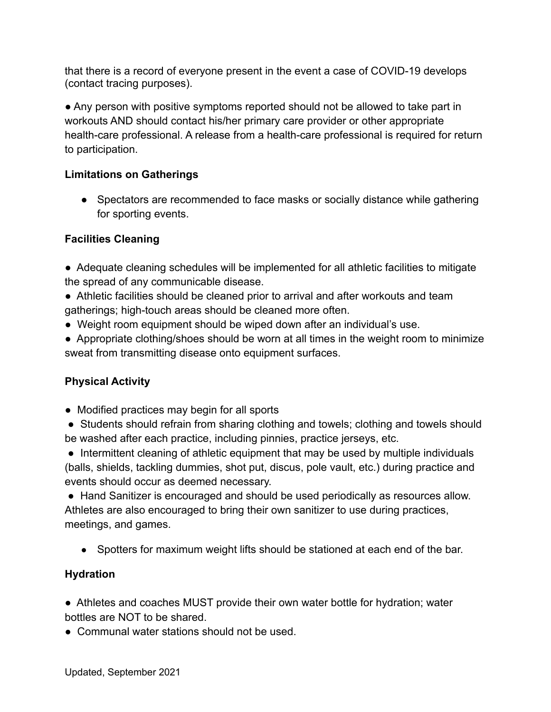that there is a record of everyone present in the event a case of COVID-19 develops (contact tracing purposes).

● Any person with positive symptoms reported should not be allowed to take part in workouts AND should contact his/her primary care provider or other appropriate health-care professional. A release from a health-care professional is required for return to participation.

#### **Limitations on Gatherings**

● Spectators are recommended to face masks or socially distance while gathering for sporting events.

#### **Facilities Cleaning**

- Adequate cleaning schedules will be implemented for all athletic facilities to mitigate the spread of any communicable disease.
- Athletic facilities should be cleaned prior to arrival and after workouts and team gatherings; high-touch areas should be cleaned more often.
- Weight room equipment should be wiped down after an individual's use.
- Appropriate clothing/shoes should be worn at all times in the weight room to minimize sweat from transmitting disease onto equipment surfaces.

## **Physical Activity**

- Modified practices may begin for all sports
- Students should refrain from sharing clothing and towels; clothing and towels should be washed after each practice, including pinnies, practice jerseys, etc.

• Intermittent cleaning of athletic equipment that may be used by multiple individuals (balls, shields, tackling dummies, shot put, discus, pole vault, etc.) during practice and events should occur as deemed necessary.

● Hand Sanitizer is encouraged and should be used periodically as resources allow. Athletes are also encouraged to bring their own sanitizer to use during practices, meetings, and games.

• Spotters for maximum weight lifts should be stationed at each end of the bar.

## **Hydration**

● Athletes and coaches MUST provide their own water bottle for hydration; water bottles are NOT to be shared.

● Communal water stations should not be used.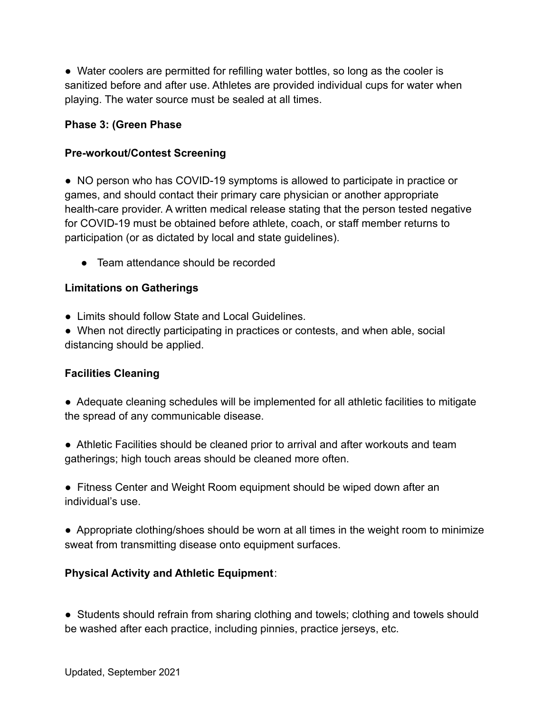● Water coolers are permitted for refilling water bottles, so long as the cooler is sanitized before and after use. Athletes are provided individual cups for water when playing. The water source must be sealed at all times.

#### **Phase 3: (Green Phase**

#### **Pre-workout/Contest Screening**

● NO person who has COVID-19 symptoms is allowed to participate in practice or games, and should contact their primary care physician or another appropriate health-care provider. A written medical release stating that the person tested negative for COVID-19 must be obtained before athlete, coach, or staff member returns to participation (or as dictated by local and state guidelines).

● Team attendance should be recorded

#### **Limitations on Gatherings**

- Limits should follow State and Local Guidelines.
- When not directly participating in practices or contests, and when able, social distancing should be applied.

#### **Facilities Cleaning**

- Adequate cleaning schedules will be implemented for all athletic facilities to mitigate the spread of any communicable disease.
- Athletic Facilities should be cleaned prior to arrival and after workouts and team gatherings; high touch areas should be cleaned more often.
- Fitness Center and Weight Room equipment should be wiped down after an individual's use.
- Appropriate clothing/shoes should be worn at all times in the weight room to minimize sweat from transmitting disease onto equipment surfaces.

#### **Physical Activity and Athletic Equipment**:

● Students should refrain from sharing clothing and towels; clothing and towels should be washed after each practice, including pinnies, practice jerseys, etc.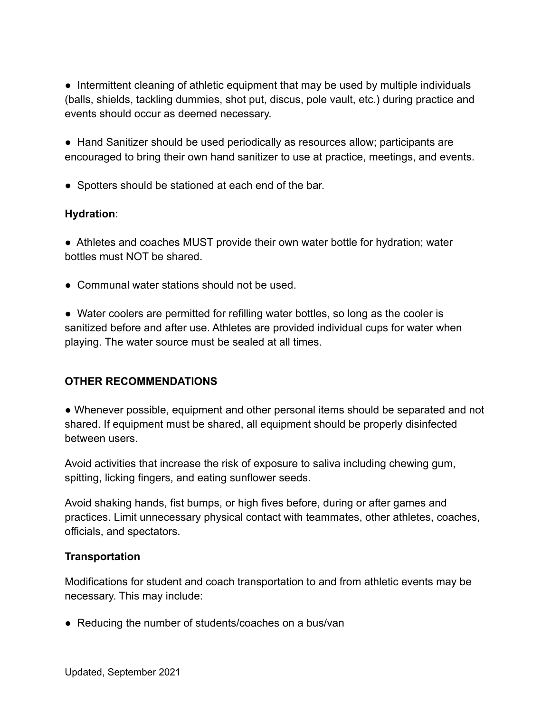• Intermittent cleaning of athletic equipment that may be used by multiple individuals (balls, shields, tackling dummies, shot put, discus, pole vault, etc.) during practice and events should occur as deemed necessary.

● Hand Sanitizer should be used periodically as resources allow; participants are encouraged to bring their own hand sanitizer to use at practice, meetings, and events.

● Spotters should be stationed at each end of the bar.

#### **Hydration**:

● Athletes and coaches MUST provide their own water bottle for hydration; water bottles must NOT be shared.

● Communal water stations should not be used.

● Water coolers are permitted for refilling water bottles, so long as the cooler is sanitized before and after use. Athletes are provided individual cups for water when playing. The water source must be sealed at all times.

## **OTHER RECOMMENDATIONS**

● Whenever possible, equipment and other personal items should be separated and not shared. If equipment must be shared, all equipment should be properly disinfected between users.

Avoid activities that increase the risk of exposure to saliva including chewing gum, spitting, licking fingers, and eating sunflower seeds.

Avoid shaking hands, fist bumps, or high fives before, during or after games and practices. Limit unnecessary physical contact with teammates, other athletes, coaches, officials, and spectators.

#### **Transportation**

Modifications for student and coach transportation to and from athletic events may be necessary. This may include:

● Reducing the number of students/coaches on a bus/van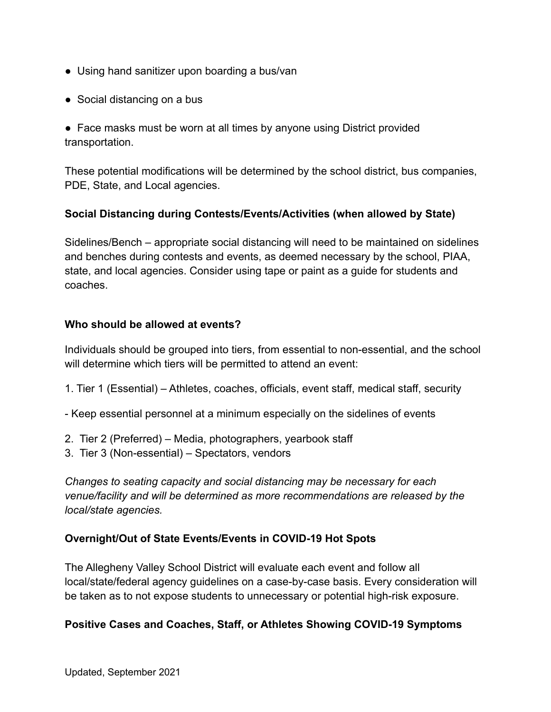- Using hand sanitizer upon boarding a bus/van
- Social distancing on a bus

• Face masks must be worn at all times by anyone using District provided transportation.

These potential modifications will be determined by the school district, bus companies, PDE, State, and Local agencies.

#### **Social Distancing during Contests/Events/Activities (when allowed by State)**

Sidelines/Bench – appropriate social distancing will need to be maintained on sidelines and benches during contests and events, as deemed necessary by the school, PIAA, state, and local agencies. Consider using tape or paint as a guide for students and coaches.

#### **Who should be allowed at events?**

Individuals should be grouped into tiers, from essential to non-essential, and the school will determine which tiers will be permitted to attend an event:

- 1. Tier 1 (Essential) Athletes, coaches, officials, event staff, medical staff, security
- Keep essential personnel at a minimum especially on the sidelines of events
- 2. Tier 2 (Preferred) Media, photographers, yearbook staff
- 3. Tier 3 (Non-essential) Spectators, vendors

*Changes to seating capacity and social distancing may be necessary for each venue/facility and will be determined as more recommendations are released by the local/state agencies.*

#### **Overnight/Out of State Events/Events in COVID-19 Hot Spots**

The Allegheny Valley School District will evaluate each event and follow all local/state/federal agency guidelines on a case-by-case basis. Every consideration will be taken as to not expose students to unnecessary or potential high-risk exposure.

#### **Positive Cases and Coaches, Staff, or Athletes Showing COVID-19 Symptoms**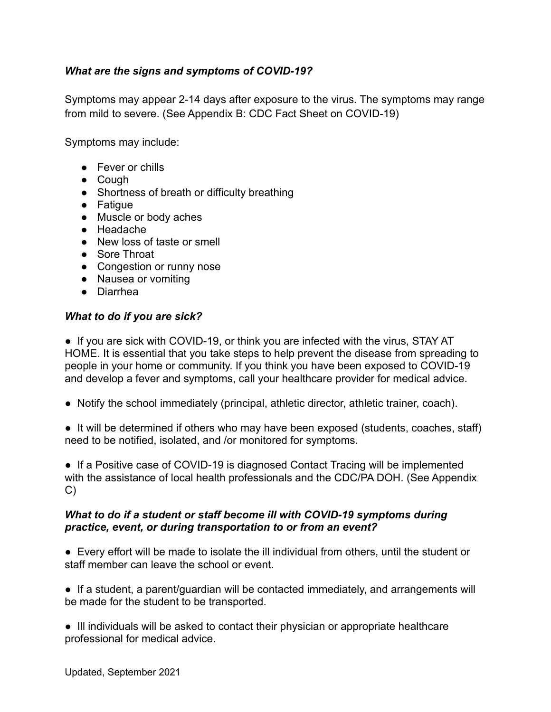#### *What are the signs and symptoms of COVID-19?*

Symptoms may appear 2-14 days after exposure to the virus. The symptoms may range from mild to severe. (See Appendix B: CDC Fact Sheet on COVID-19)

Symptoms may include:

- Fever or chills
- Cough
- Shortness of breath or difficulty breathing
- Fatigue
- Muscle or body aches
- Headache
- New loss of taste or smell
- Sore Throat
- Congestion or runny nose
- Nausea or vomiting
- Diarrhea

#### *What to do if you are sick?*

• If you are sick with COVID-19, or think you are infected with the virus, STAY AT HOME. It is essential that you take steps to help prevent the disease from spreading to people in your home or community. If you think you have been exposed to COVID-19 and develop a fever and symptoms, call your healthcare provider for medical advice.

- Notify the school immediately (principal, athletic director, athletic trainer, coach).
- It will be determined if others who may have been exposed (students, coaches, staff) need to be notified, isolated, and /or monitored for symptoms.

• If a Positive case of COVID-19 is diagnosed Contact Tracing will be implemented with the assistance of local health professionals and the CDC/PA DOH. (See Appendix C)

#### *What to do if a student or staff become ill with COVID-19 symptoms during practice, event, or during transportation to or from an event?*

● Every effort will be made to isolate the ill individual from others, until the student or staff member can leave the school or event.

• If a student, a parent/guardian will be contacted immediately, and arrangements will be made for the student to be transported.

● Ill individuals will be asked to contact their physician or appropriate healthcare professional for medical advice.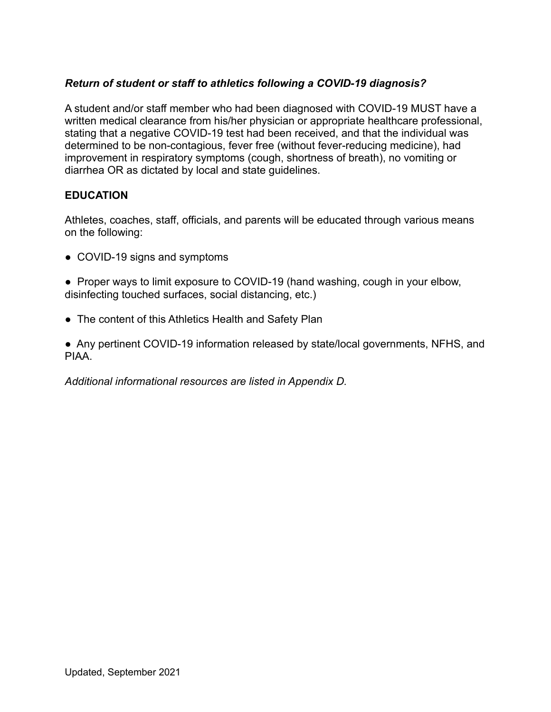#### *Return of student or staff to athletics following a COVID-19 diagnosis?*

A student and/or staff member who had been diagnosed with COVID-19 MUST have a written medical clearance from his/her physician or appropriate healthcare professional, stating that a negative COVID-19 test had been received, and that the individual was determined to be non-contagious, fever free (without fever-reducing medicine), had improvement in respiratory symptoms (cough, shortness of breath), no vomiting or diarrhea OR as dictated by local and state guidelines.

#### **EDUCATION**

Athletes, coaches, staff, officials, and parents will be educated through various means on the following:

- COVID-19 signs and symptoms
- Proper ways to limit exposure to COVID-19 (hand washing, cough in your elbow, disinfecting touched surfaces, social distancing, etc.)
- The content of this Athletics Health and Safety Plan

● Any pertinent COVID-19 information released by state/local governments, NFHS, and PIAA.

*Additional informational resources are listed in Appendix D.*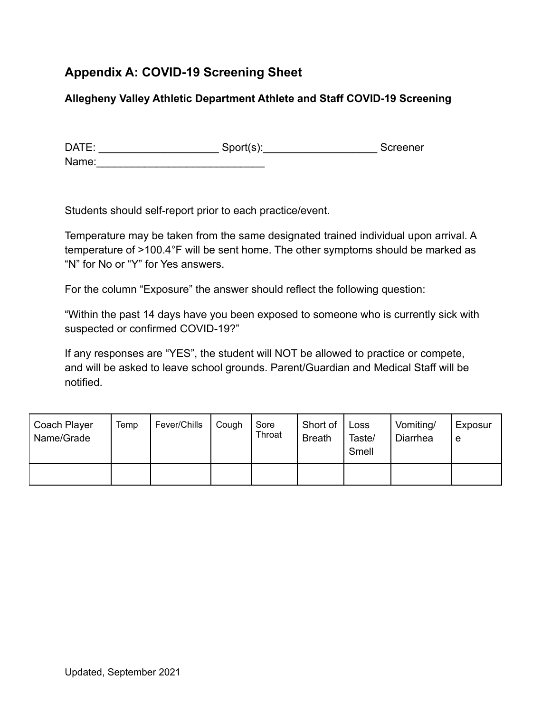# **Appendix A: COVID-19 Screening Sheet**

#### **Allegheny Valley Athletic Department Athlete and Staff COVID-19 Screening**

| DATE: | Sports): | Screener |
|-------|----------|----------|
| Name: |          |          |

Students should self-report prior to each practice/event.

Temperature may be taken from the same designated trained individual upon arrival. A temperature of >100.4°F will be sent home. The other symptoms should be marked as "N" for No or "Y" for Yes answers.

For the column "Exposure" the answer should reflect the following question:

"Within the past 14 days have you been exposed to someone who is currently sick with suspected or confirmed COVID-19?"

If any responses are "YES", the student will NOT be allowed to practice or compete, and will be asked to leave school grounds. Parent/Guardian and Medical Staff will be notified.

| Coach Player<br>Name/Grade | Temp | Fever/Chills | Cough | Sore<br>Throat | Short of<br><b>Breath</b> | Loss<br>Taste/<br>Smell | Vomiting/<br>Diarrhea | Exposur<br>e |
|----------------------------|------|--------------|-------|----------------|---------------------------|-------------------------|-----------------------|--------------|
|                            |      |              |       |                |                           |                         |                       |              |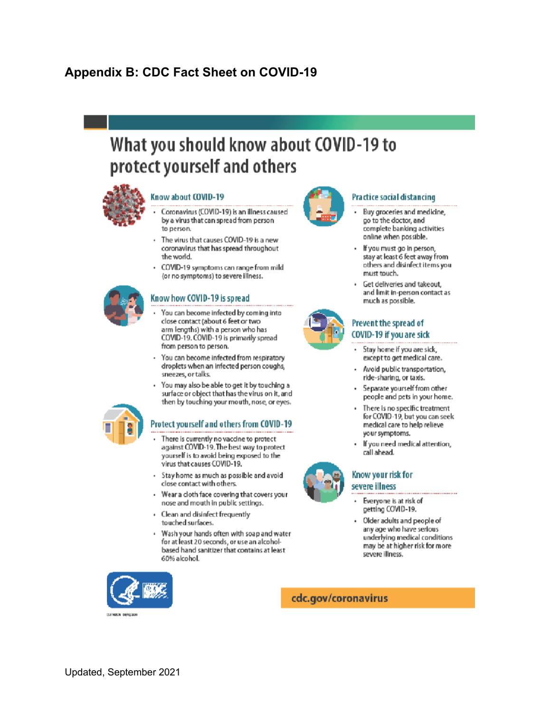# **Appendix B: CDC Fact Sheet on COVID-19**

# What you should know about COVID-19 to protect yourself and others



#### Know about COVID-19

- Coronavirus (COVID-19) is an illness caused by a virus that can spread from person to person.
- The virus that causes COVID-19 is a new coronavirus that has spread throughout the world.
- COVID-19 symptoms can range from mild (or no symptoms) to severe illness.

#### Know how COVID-19 is spread

- You can become infected by coming into close contact (about 6 feet or two arm lengths) with a person who has COVID-19. COVID-19 is primarily spread from person to person.
- · You can become infected from respiratory droplets when an infected person coughs, sneezes, or talks.
- · You may also be able to get it by touching a surface or object that has the virus on it, and then by touching your mouth, nose, or eyes.

#### Protect yourself and others from COVID-19

- There is currently no vaccine to protect against COVID-19. The best way to protect yourself is to avoid being exposed to the virus that causes COVID-19.
- Stay home as much as possible and avoid close contact with others.
- Wear a cloth face covering that covers your nose and mouth in public settings.
- Clean and disinfect frequently touched surfaces.
- Wash your hands often with soap and water for at least 20 seconds, or use an alcoholbased hand sanitizer that contains at least 60% alcohol.



#### Practice social distancing

- Buy groceries and medicine, go to the doctor, and complete banking activities online when possible.
- If you must go in person, stay at least 6 feet away from others and disinfect items you must touch.
- Get deliveries and takeout, and limit in-person contact as much as possible.

#### Prevent the spread of COVID-19 if you are sick

- Stay home if you are sick, ٠ except to get medical care.
- Avoid public transportation, ride-sharing, or taxis.
- Separate yourself from other people and pets in your home.
- There is no specific treatment for COVID-19, but you can seek medical care to help relieve your symptoms.
- If you need medical attention, call ahead.



#### Know your risk for severe illness

- Everyone is at risk of getting COVID-19.
- Older adults and people of any age who have serious underlying medical conditions may be at higher risk for more severe illness.



cdc.gov/coronavirus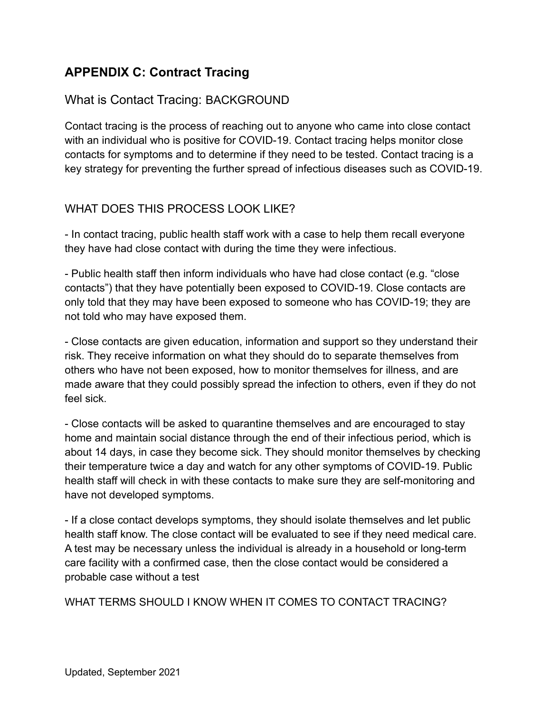# **APPENDIX C: Contract Tracing**

## What is Contact Tracing: BACKGROUND

Contact tracing is the process of reaching out to anyone who came into close contact with an individual who is positive for COVID-19. Contact tracing helps monitor close contacts for symptoms and to determine if they need to be tested. Contact tracing is a key strategy for preventing the further spread of infectious diseases such as COVID-19.

## WHAT DOES THIS PROCESS LOOK LIKE?

- In contact tracing, public health staff work with a case to help them recall everyone they have had close contact with during the time they were infectious.

- Public health staff then inform individuals who have had close contact (e.g. "close contacts") that they have potentially been exposed to COVID-19. Close contacts are only told that they may have been exposed to someone who has COVID-19; they are not told who may have exposed them.

- Close contacts are given education, information and support so they understand their risk. They receive information on what they should do to separate themselves from others who have not been exposed, how to monitor themselves for illness, and are made aware that they could possibly spread the infection to others, even if they do not feel sick.

- Close contacts will be asked to quarantine themselves and are encouraged to stay home and maintain social distance through the end of their infectious period, which is about 14 days, in case they become sick. They should monitor themselves by checking their temperature twice a day and watch for any other symptoms of COVID-19. Public health staff will check in with these contacts to make sure they are self-monitoring and have not developed symptoms.

- If a close contact develops symptoms, they should isolate themselves and let public health staff know. The close contact will be evaluated to see if they need medical care. A test may be necessary unless the individual is already in a household or long-term care facility with a confirmed case, then the close contact would be considered a probable case without a test

WHAT TERMS SHOULD I KNOW WHEN IT COMES TO CONTACT TRACING?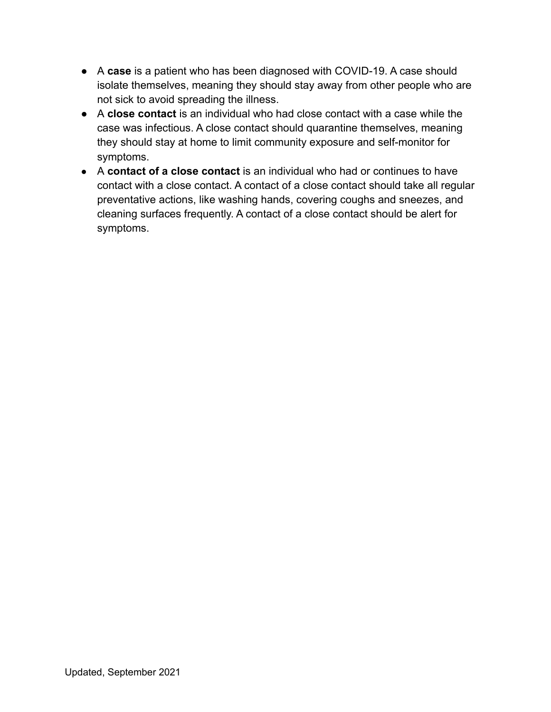- A **case** is a patient who has been diagnosed with COVID-19. A case should isolate themselves, meaning they should stay away from other people who are not sick to avoid spreading the illness.
- A **close contact** is an individual who had close contact with a case while the case was infectious. A close contact should quarantine themselves, meaning they should stay at home to limit community exposure and self-monitor for symptoms.
- A **contact of a close contact** is an individual who had or continues to have contact with a close contact. A contact of a close contact should take all regular preventative actions, like washing hands, covering coughs and sneezes, and cleaning surfaces frequently. A contact of a close contact should be alert for symptoms.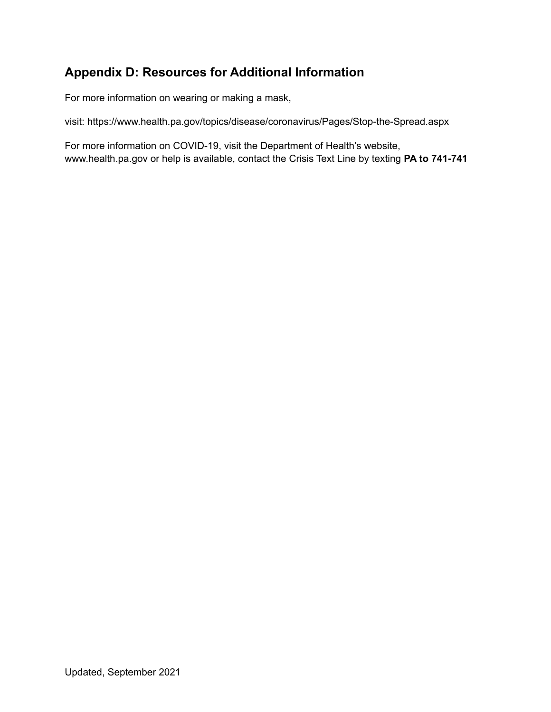# **Appendix D: Resources for Additional Information**

For more information on wearing or making a mask,

visit: https://www.health.pa.gov/topics/disease/coronavirus/Pages/Stop-the-Spread.aspx

For more information on COVID-19, visit the Department of Health's website, www.health.pa.gov or help is available, contact the Crisis Text Line by texting **PA to 741-741**